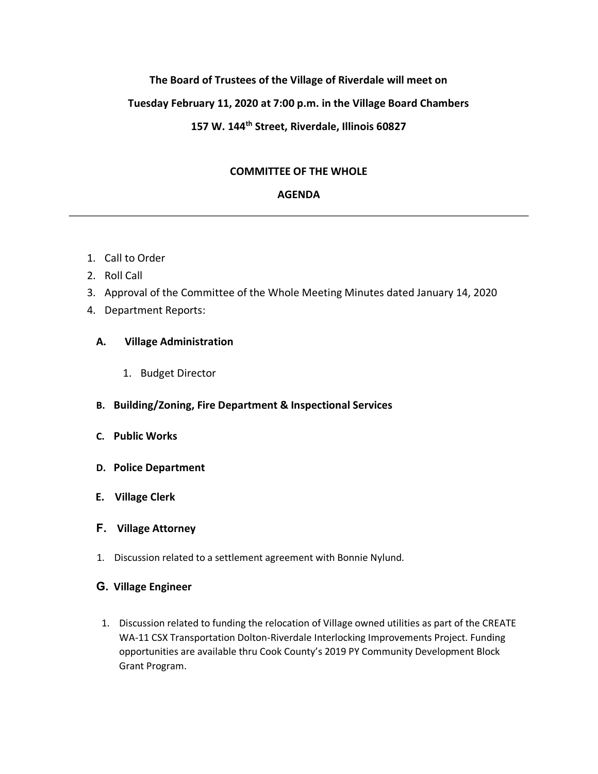## **The Board of Trustees of the Village of Riverdale will meet on**

### **Tuesday February 11, 2020 at 7:00 p.m. in the Village Board Chambers**

# **157 W. 144th Street, Riverdale, Illinois 60827**

## **COMMITTEE OF THE WHOLE**

#### **AGENDA**

- 1. Call to Order
- 2. Roll Call
- 3. Approval of the Committee of the Whole Meeting Minutes dated January 14, 2020
- 4. Department Reports:

### **A. Village Administration**

- 1. Budget Director
- **B. Building/Zoning, Fire Department & Inspectional Services**
- **C. Public Works**
- **D. Police Department**
- **E. Village Clerk**
- **F. Village Attorney**
- 1. Discussion related to a settlement agreement with Bonnie Nylund.
- **G. Village Engineer** 
	- 1. Discussion related to funding the relocation of Village owned utilities as part of the CREATE WA-11 CSX Transportation Dolton-Riverdale Interlocking Improvements Project. Funding opportunities are available thru Cook County's 2019 PY Community Development Block Grant Program.